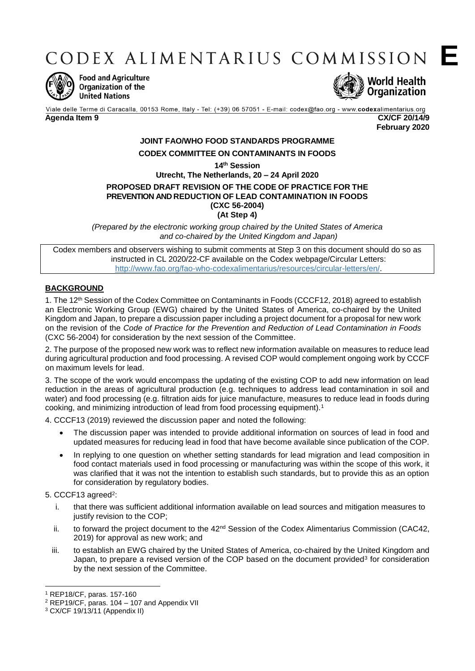CODEX ALIMENTARIUS COMMISSION E



**Food and Agriculture** Organization of the **United Nations** 



Viale delle Terme di Caracalla, 00153 Rome, Italy - Tel: (+39) 06 57051 - E-mail: codex@fao.org - www.codexalimentarius.org **Agenda Item 9 CX/CF 20/14/9**

**February 2020**

# **JOINT FAO/WHO FOOD STANDARDS PROGRAMME CODEX COMMITTEE ON CONTAMINANTS IN FOODS**

**14th Session**

### **Utrecht, The Netherlands, 20 – 24 April 2020 PROPOSED DRAFT REVISION OF THE CODE OF PRACTICE FOR THE PREVENTION AND REDUCTION OF LEAD CONTAMINATION IN FOODS (CXC 56-2004) (At Step 4)**

*(Prepared by the electronic working group chaired by the United States of America and co-chaired by the United Kingdom and Japan)*

Codex members and observers wishing to submit comments at Step 3 on this document should do so as instructed in CL 2020/22-CF available on the Codex webpage/Circular Letters: [http://www.fao.org/fao-who-codexalimentarius/resources/circular-letters/en/.](http://www.fao.org/fao-who-codexalimentarius/resources/circular-letters/en/)

# **BACKGROUND**

1. The 12th Session of the Codex Committee on Contaminants in Foods (CCCF12, 2018) agreed to establish an Electronic Working Group (EWG) chaired by the United States of America, co-chaired by the United Kingdom and Japan, to prepare a discussion paper including a project document for a proposal for new work on the revision of the *Code of Practice for the Prevention and Reduction of Lead Contamination in Foods* (CXC 56-2004) for consideration by the next session of the Committee.

2. The purpose of the proposed new work was to reflect new information available on measures to reduce lead during agricultural production and food processing. A revised COP would complement ongoing work by CCCF on maximum levels for lead.

3. The scope of the work would encompass the updating of the existing COP to add new information on lead reduction in the areas of agricultural production (e.g. techniques to address lead contamination in soil and water) and food processing (e.g. filtration aids for juice manufacture, measures to reduce lead in foods during cooking, and minimizing introduction of lead from food processing equipment).<sup>1</sup>

4. CCCF13 (2019) reviewed the discussion paper and noted the following:

- The discussion paper was intended to provide additional information on sources of lead in food and updated measures for reducing lead in food that have become available since publication of the COP.
- In replying to one question on whether setting standards for lead migration and lead composition in food contact materials used in food processing or manufacturing was within the scope of this work, it was clarified that it was not the intention to establish such standards, but to provide this as an option for consideration by regulatory bodies.

## 5. CCCF13 agreed<sup>2</sup>:

- i. that there was sufficient additional information available on lead sources and mitigation measures to justify revision to the COP;
- ii. to forward the project document to the  $42<sup>nd</sup>$  Session of the Codex Alimentarius Commission (CAC42, 2019) for approval as new work; and
- iii. to establish an EWG chaired by the United States of America, co-chaired by the United Kingdom and Japan, to prepare a revised version of the COP based on the document provided<sup>3</sup> for consideration by the next session of the Committee.

<sup>1</sup> <sup>1</sup> REP18/CF, paras. 157-160

<sup>2</sup> REP19/CF, paras. 104 – 107 and Appendix VII

<sup>3</sup> CX/CF 19/13/11 (Appendix II)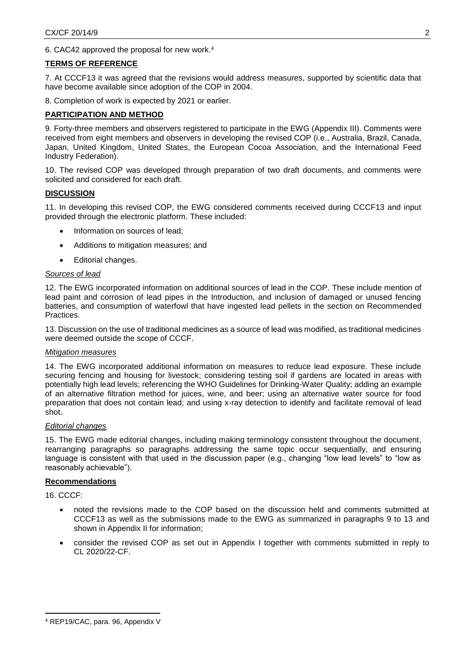6. CAC42 approved the proposal for new work.<sup>4</sup>

### **TERMS OF REFERENCE**

7. At CCCF13 it was agreed that the revisions would address measures, supported by scientific data that have become available since adoption of the COP in 2004.

8. Completion of work is expected by 2021 or earlier.

## **PARTICIPATION AND METHOD**

9. Forty-three members and observers registered to participate in the EWG (Appendix III). Comments were received from eight members and observers in developing the revised COP (i.e., Australia, Brazil, Canada, Japan, United Kingdom, United States, the European Cocoa Association, and the International Feed Industry Federation).

10. The revised COP was developed through preparation of two draft documents, and comments were solicited and considered for each draft.

### **DISCUSSION**

11. In developing this revised COP, the EWG considered comments received during CCCF13 and input provided through the electronic platform. These included:

- Information on sources of lead;
- Additions to mitigation measures; and
- Editorial changes.

# *Sources of lead*

12. The EWG incorporated information on additional sources of lead in the COP. These include mention of lead paint and corrosion of lead pipes in the Introduction, and inclusion of damaged or unused fencing batteries, and consumption of waterfowl that have ingested lead pellets in the section on Recommended Practices.

13. Discussion on the use of traditional medicines as a source of lead was modified, as traditional medicines were deemed outside the scope of CCCF.

### *Mitigation measures*

14. The EWG incorporated additional information on measures to reduce lead exposure. These include securing fencing and housing for livestock; considering testing soil if gardens are located in areas with potentially high lead levels; referencing the WHO Guidelines for Drinking-Water Quality; adding an example of an alternative filtration method for juices, wine, and beer; using an alternative water source for food preparation that does not contain lead; and using x-ray detection to identify and facilitate removal of lead shot.

### *Editorial changes*

15. The EWG made editorial changes, including making terminology consistent throughout the document, rearranging paragraphs so paragraphs addressing the same topic occur sequentially, and ensuring language is consistent with that used in the discussion paper (e.g., changing "low lead levels" to "low as reasonably achievable").

### **Recommendations**

16. CCCF:

**.** 

- noted the revisions made to the COP based on the discussion held and comments submitted at CCCF13 as well as the submissions made to the EWG as summarized in paragraphs 9 to 13 and shown in Appendix II for information;
- consider the revised COP as set out in Appendix I together with comments submitted in reply to CL 2020/22-CF.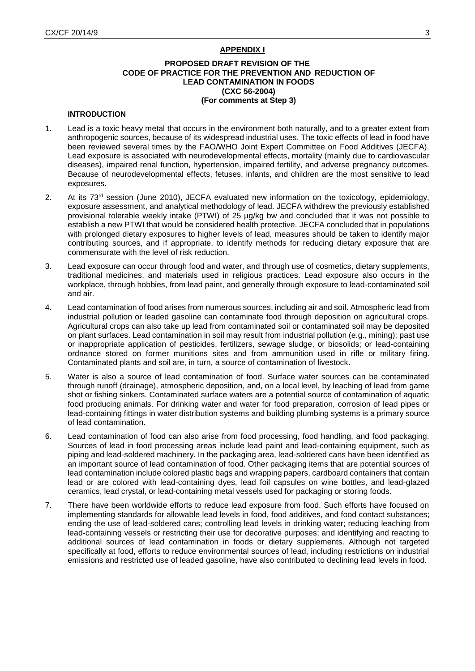### **APPENDIX I**

### **PROPOSED DRAFT REVISION OF THE CODE OF PRACTICE FOR THE PREVENTION AND REDUCTION OF LEAD CONTAMINATION IN FOODS (CXC 56-2004) (For comments at Step 3)**

### **INTRODUCTION**

- 1. Lead is a toxic heavy metal that occurs in the environment both naturally, and to a greater extent from anthropogenic sources, because of its widespread industrial uses. The toxic effects of lead in food have been reviewed several times by the FAO/WHO Joint Expert Committee on Food Additives (JECFA). Lead exposure is associated with neurodevelopmental effects, mortality (mainly due to cardiovascular diseases), impaired renal function, hypertension, impaired fertility, and adverse pregnancy outcomes. Because of neurodevelopmental effects, fetuses, infants, and children are the most sensitive to lead exposures.
- 2. At its 73<sup>rd</sup> session (June 2010), JECFA evaluated new information on the toxicology, epidemiology, exposure assessment, and analytical methodology of lead. JECFA withdrew the previously established provisional tolerable weekly intake (PTWI) of 25 µg/kg bw and concluded that it was not possible to establish a new PTWI that would be considered health protective. JECFA concluded that in populations with prolonged dietary exposures to higher levels of lead, measures should be taken to identify major contributing sources, and if appropriate, to identify methods for reducing dietary exposure that are commensurate with the level of risk reduction.
- 3. Lead exposure can occur through food and water, and through use of cosmetics, dietary supplements, traditional medicines, and materials used in religious practices. Lead exposure also occurs in the workplace, through hobbies, from lead paint, and generally through exposure to lead-contaminated soil and air.
- 4. Lead contamination of food arises from numerous sources, including air and soil. Atmospheric lead from industrial pollution or leaded gasoline can contaminate food through deposition on agricultural crops. Agricultural crops can also take up lead from contaminated soil or contaminated soil may be deposited on plant surfaces. Lead contamination in soil may result from industrial pollution (e.g., mining); past use or inappropriate application of pesticides, fertilizers, sewage sludge, or biosolids; or lead-containing ordnance stored on former munitions sites and from ammunition used in rifle or military firing. Contaminated plants and soil are, in turn, a source of contamination of livestock.
- 5. Water is also a source of lead contamination of food. Surface water sources can be contaminated through runoff (drainage), atmospheric deposition, and, on a local level, by leaching of lead from game shot or fishing sinkers. Contaminated surface waters are a potential source of contamination of aquatic food producing animals. For drinking water and water for food preparation, corrosion of lead pipes or lead-containing fittings in water distribution systems and building plumbing systems is a primary source of lead contamination.
- 6. Lead contamination of food can also arise from food processing, food handling, and food packaging. Sources of lead in food processing areas include lead paint and lead-containing equipment, such as piping and lead-soldered machinery. In the packaging area, lead-soldered cans have been identified as an important source of lead contamination of food. Other packaging items that are potential sources of lead contamination include colored plastic bags and wrapping papers, cardboard containers that contain lead or are colored with lead-containing dyes, lead foil capsules on wine bottles, and lead-glazed ceramics, lead crystal, or lead-containing metal vessels used for packaging or storing foods.
- 7. There have been worldwide efforts to reduce lead exposure from food. Such efforts have focused on implementing standards for allowable lead levels in food, food additives, and food contact substances; ending the use of lead-soldered cans; controlling lead levels in drinking water; reducing leaching from lead-containing vessels or restricting their use for decorative purposes; and identifying and reacting to additional sources of lead contamination in foods or dietary supplements. Although not targeted specifically at food, efforts to reduce environmental sources of lead, including restrictions on industrial emissions and restricted use of leaded gasoline, have also contributed to declining lead levels in food.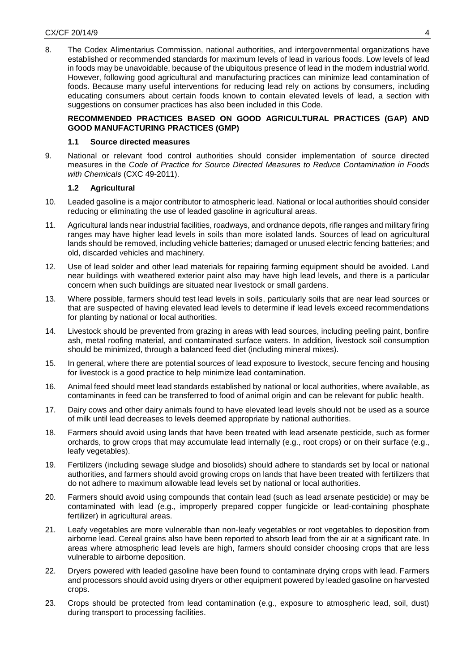8. The Codex Alimentarius Commission, national authorities, and intergovernmental organizations have established or recommended standards for maximum levels of lead in various foods. Low levels of lead in foods may be unavoidable, because of the ubiquitous presence of lead in the modern industrial world. However, following good agricultural and manufacturing practices can minimize lead contamination of foods. Because many useful interventions for reducing lead rely on actions by consumers, including educating consumers about certain foods known to contain elevated levels of lead, a section with suggestions on consumer practices has also been included in this Code.

## **RECOMMENDED PRACTICES BASED ON GOOD AGRICULTURAL PRACTICES (GAP) AND GOOD MANUFACTURING PRACTICES (GMP)**

### **1.1 Source directed measures**

9. National or relevant food control authorities should consider implementation of source directed measures in the *Code of Practice for Source Directed Measures to Reduce Contamination in Foods with Chemicals* (CXC 49-2011).

### **1.2 Agricultural**

- 10. Leaded gasoline is a major contributor to atmospheric lead. National or local authorities should consider reducing or eliminating the use of leaded gasoline in agricultural areas.
- 11. Agricultural lands near industrial facilities, roadways, and ordnance depots, rifle ranges and military firing ranges may have higher lead levels in soils than more isolated lands. Sources of lead on agricultural lands should be removed, including vehicle batteries; damaged or unused electric fencing batteries; and old, discarded vehicles and machinery.
- 12. Use of lead solder and other lead materials for repairing farming equipment should be avoided. Land near buildings with weathered exterior paint also may have high lead levels, and there is a particular concern when such buildings are situated near livestock or small gardens.
- 13. Where possible, farmers should test lead levels in soils, particularly soils that are near lead sources or that are suspected of having elevated lead levels to determine if lead levels exceed recommendations for planting by national or local authorities.
- 14. Livestock should be prevented from grazing in areas with lead sources, including peeling paint, bonfire ash, metal roofing material, and contaminated surface waters. In addition, livestock soil consumption should be minimized, through a balanced feed diet (including mineral mixes).
- 15. In general, where there are potential sources of lead exposure to livestock, secure fencing and housing for livestock is a good practice to help minimize lead contamination.
- 16. Animal feed should meet lead standards established by national or local authorities, where available, as contaminants in feed can be transferred to food of animal origin and can be relevant for public health.
- 17. Dairy cows and other dairy animals found to have elevated lead levels should not be used as a source of milk until lead decreases to levels deemed appropriate by national authorities.
- 18. Farmers should avoid using lands that have been treated with lead arsenate pesticide, such as former orchards, to grow crops that may accumulate lead internally (e.g., root crops) or on their surface (e.g., leafy vegetables).
- 19. Fertilizers (including sewage sludge and biosolids) should adhere to standards set by local or national authorities, and farmers should avoid growing crops on lands that have been treated with fertilizers that do not adhere to maximum allowable lead levels set by national or local authorities.
- 20. Farmers should avoid using compounds that contain lead (such as lead arsenate pesticide) or may be contaminated with lead (e.g., improperly prepared copper fungicide or lead-containing phosphate fertilizer) in agricultural areas.
- 21. Leafy vegetables are more vulnerable than non-leafy vegetables or root vegetables to deposition from airborne lead. Cereal grains also have been reported to absorb lead from the air at a significant rate. In areas where atmospheric lead levels are high, farmers should consider choosing crops that are less vulnerable to airborne deposition.
- 22. Dryers powered with leaded gasoline have been found to contaminate drying crops with lead. Farmers and processors should avoid using dryers or other equipment powered by leaded gasoline on harvested crops.
- 23. Crops should be protected from lead contamination (e.g., exposure to atmospheric lead, soil, dust) during transport to processing facilities.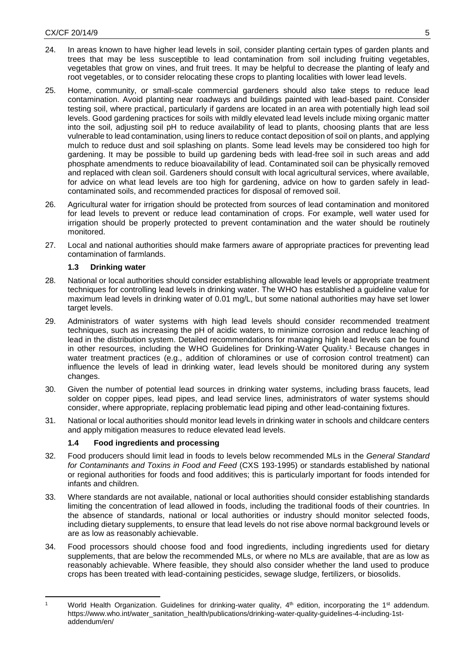- 24. In areas known to have higher lead levels in soil, consider planting certain types of garden plants and trees that may be less susceptible to lead contamination from soil including fruiting vegetables, vegetables that grow on vines, and fruit trees. It may be helpful to decrease the planting of leafy and root vegetables, or to consider relocating these crops to planting localities with lower lead levels.
- 25. Home, community, or small-scale commercial gardeners should also take steps to reduce lead contamination. Avoid planting near roadways and buildings painted with lead-based paint. Consider testing soil, where practical, particularly if gardens are located in an area with potentially high lead soil levels. Good gardening practices for soils with mildly elevated lead levels include mixing organic matter into the soil, adjusting soil pH to reduce availability of lead to plants, choosing plants that are less vulnerable to lead contamination, using liners to reduce contact deposition of soil on plants, and applying mulch to reduce dust and soil splashing on plants. Some lead levels may be considered too high for gardening. It may be possible to build up gardening beds with lead-free soil in such areas and add phosphate amendments to reduce bioavailability of lead. Contaminated soil can be physically removed and replaced with clean soil. Gardeners should consult with local agricultural services, where available, for advice on what lead levels are too high for gardening, advice on how to garden safely in leadcontaminated soils, and recommended practices for disposal of removed soil.
- 26. Agricultural water for irrigation should be protected from sources of lead contamination and monitored for lead levels to prevent or reduce lead contamination of crops. For example, well water used for irrigation should be properly protected to prevent contamination and the water should be routinely monitored.
- 27. Local and national authorities should make farmers aware of appropriate practices for preventing lead contamination of farmlands.

# **1.3 Drinking water**

- 28. National or local authorities should consider establishing allowable lead levels or appropriate treatment techniques for controlling lead levels in drinking water. The WHO has established a guideline value for maximum lead levels in drinking water of 0.01 mg/L, but some national authorities may have set lower target levels.
- 29. Administrators of water systems with high lead levels should consider recommended treatment techniques, such as increasing the pH of acidic waters, to minimize corrosion and reduce leaching of lead in the distribution system. Detailed recommendations for managing high lead levels can be found in other resources, including the WHO Guidelines for Drinking-Water Quality.<sup>1</sup> Because changes in water treatment practices (e.g., addition of chloramines or use of corrosion control treatment) can influence the levels of lead in drinking water, lead levels should be monitored during any system changes.
- 30. Given the number of potential lead sources in drinking water systems, including brass faucets, lead solder on copper pipes, lead pipes, and lead service lines, administrators of water systems should consider, where appropriate, replacing problematic lead piping and other lead-containing fixtures.
- 31. National or local authorities should monitor lead levels in drinking water in schools and childcare centers and apply mitigation measures to reduce elevated lead levels.

# **1.4 Food ingredients and processing**

- 32. Food producers should limit lead in foods to levels below recommended MLs in the *General Standard for Contaminants and Toxins in Food and Feed* (CXS 193-1995) or standards established by national or regional authorities for foods and food additives; this is particularly important for foods intended for infants and children.
- 33. Where standards are not available, national or local authorities should consider establishing standards limiting the concentration of lead allowed in foods, including the traditional foods of their countries. In the absence of standards, national or local authorities or industry should monitor selected foods, including dietary supplements, to ensure that lead levels do not rise above normal background levels or are as low as reasonably achievable.
- 34. Food processors should choose food and food ingredients, including ingredients used for dietary supplements, that are below the recommended MLs, or where no MLs are available, that are as low as reasonably achievable. Where feasible, they should also consider whether the land used to produce crops has been treated with lead-containing pesticides, sewage sludge, fertilizers, or biosolids.

 $\overline{1}$ World Health Organization. Guidelines for drinking-water quality, 4<sup>th</sup> edition, incorporating the 1<sup>st</sup> addendum. [https://www.who.int/water\\_sanitation\\_health/publications/drinking-water-quality-guidelines-4-including-1st](https://www.who.int/water_sanitation_health/publications/drinking-water-quality-guidelines-4-including-1st-addendum/en/)[addendum/en/](https://www.who.int/water_sanitation_health/publications/drinking-water-quality-guidelines-4-including-1st-addendum/en/)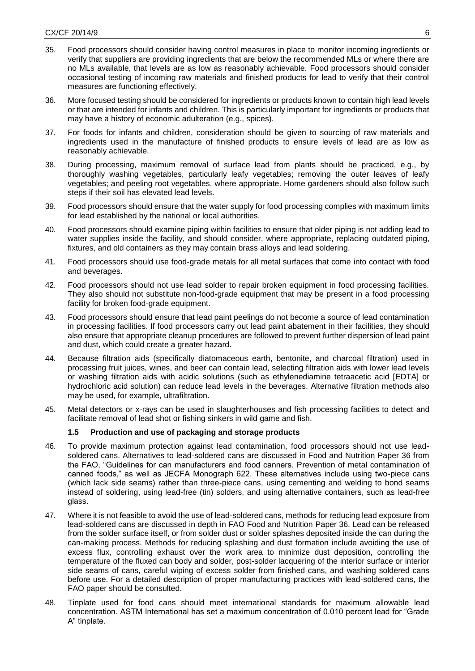- 35. Food processors should consider having control measures in place to monitor incoming ingredients or verify that suppliers are providing ingredients that are below the recommended MLs or where there are no MLs available, that levels are as low as reasonably achievable. Food processors should consider occasional testing of incoming raw materials and finished products for lead to verify that their control measures are functioning effectively.
- 36. More focused testing should be considered for ingredients or products known to contain high lead levels or that are intended for infants and children. This is particularly important for ingredients or products that may have a history of economic adulteration (e.g., spices).
- 37. For foods for infants and children, consideration should be given to sourcing of raw materials and ingredients used in the manufacture of finished products to ensure levels of lead are as low as reasonably achievable.
- 38. During processing, maximum removal of surface lead from plants should be practiced, e.g., by thoroughly washing vegetables, particularly leafy vegetables; removing the outer leaves of leafy vegetables; and peeling root vegetables, where appropriate. Home gardeners should also follow such steps if their soil has elevated lead levels.
- 39. Food processors should ensure that the water supply for food processing complies with maximum limits for lead established by the national or local authorities.
- 40. Food processors should examine piping within facilities to ensure that older piping is not adding lead to water supplies inside the facility, and should consider, where appropriate, replacing outdated piping, fixtures, and old containers as they may contain brass alloys and lead soldering.
- 41. Food processors should use food-grade metals for all metal surfaces that come into contact with food and beverages.
- 42. Food processors should not use lead solder to repair broken equipment in food processing facilities. They also should not substitute non-food-grade equipment that may be present in a food processing facility for broken food-grade equipment.
- 43. Food processors should ensure that lead paint peelings do not become a source of lead contamination in processing facilities. If food processors carry out lead paint abatement in their facilities, they should also ensure that appropriate cleanup procedures are followed to prevent further dispersion of lead paint and dust, which could create a greater hazard.
- 44. Because filtration aids (specifically diatomaceous earth, bentonite, and charcoal filtration) used in processing fruit juices, wines, and beer can contain lead, selecting filtration aids with lower lead levels or washing filtration aids with acidic solutions (such as ethylenediamine tetraacetic acid [EDTA] or hydrochloric acid solution) can reduce lead levels in the beverages. Alternative filtration methods also may be used, for example, ultrafiltration.
- 45. Metal detectors or x-rays can be used in slaughterhouses and fish processing facilities to detect and facilitate removal of lead shot or fishing sinkers in wild game and fish.

### **1.5 Production and use of packaging and storage products**

- 46. To provide maximum protection against lead contamination, food processors should not use leadsoldered cans. Alternatives to lead-soldered cans are discussed in Food and Nutrition Paper 36 from the FAO, "Guidelines for can manufacturers and food canners. Prevention of metal contamination of canned foods," as well as JECFA Monograph 622. These alternatives include using two-piece cans (which lack side seams) rather than three-piece cans, using cementing and welding to bond seams instead of soldering, using lead-free (tin) solders, and using alternative containers, such as lead-free glass.
- 47. Where it is not feasible to avoid the use of lead-soldered cans, methods for reducing lead exposure from lead-soldered cans are discussed in depth in FAO Food and Nutrition Paper 36. Lead can be released from the solder surface itself, or from solder dust or solder splashes deposited inside the can during the can-making process. Methods for reducing splashing and dust formation include avoiding the use of excess flux, controlling exhaust over the work area to minimize dust deposition, controlling the temperature of the fluxed can body and solder, post-solder lacquering of the interior surface or interior side seams of cans, careful wiping of excess solder from finished cans, and washing soldered cans before use. For a detailed description of proper manufacturing practices with lead-soldered cans, the FAO paper should be consulted.
- 48. Tinplate used for food cans should meet international standards for maximum allowable lead concentration. ASTM International has set a maximum concentration of 0.010 percent lead for "Grade A" tinplate.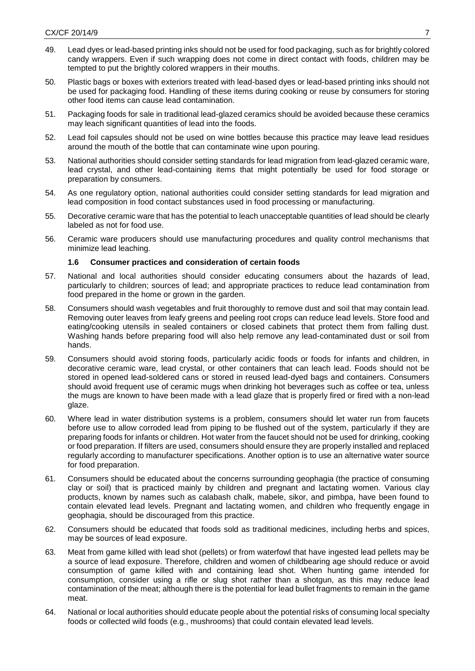- 49. Lead dyes or lead-based printing inks should not be used for food packaging, such as for brightly colored candy wrappers. Even if such wrapping does not come in direct contact with foods, children may be tempted to put the brightly colored wrappers in their mouths.
- 50. Plastic bags or boxes with exteriors treated with lead-based dyes or lead-based printing inks should not be used for packaging food. Handling of these items during cooking or reuse by consumers for storing other food items can cause lead contamination.
- 51. Packaging foods for sale in traditional lead-glazed ceramics should be avoided because these ceramics may leach significant quantities of lead into the foods.
- 52. Lead foil capsules should not be used on wine bottles because this practice may leave lead residues around the mouth of the bottle that can contaminate wine upon pouring.
- 53. National authorities should consider setting standards for lead migration from lead-glazed ceramic ware, lead crystal, and other lead-containing items that might potentially be used for food storage or preparation by consumers.
- 54. As one regulatory option, national authorities could consider setting standards for lead migration and lead composition in food contact substances used in food processing or manufacturing.
- 55. Decorative ceramic ware that has the potential to leach unacceptable quantities of lead should be clearly labeled as not for food use.
- 56. Ceramic ware producers should use manufacturing procedures and quality control mechanisms that minimize lead leaching.

### **1.6 Consumer practices and consideration of certain foods**

- 57. National and local authorities should consider educating consumers about the hazards of lead, particularly to children; sources of lead; and appropriate practices to reduce lead contamination from food prepared in the home or grown in the garden.
- 58. Consumers should wash vegetables and fruit thoroughly to remove dust and soil that may contain lead. Removing outer leaves from leafy greens and peeling root crops can reduce lead levels. Store food and eating/cooking utensils in sealed containers or closed cabinets that protect them from falling dust. Washing hands before preparing food will also help remove any lead-contaminated dust or soil from hands.
- 59. Consumers should avoid storing foods, particularly acidic foods or foods for infants and children, in decorative ceramic ware, lead crystal, or other containers that can leach lead. Foods should not be stored in opened lead-soldered cans or stored in reused lead-dyed bags and containers. Consumers should avoid frequent use of ceramic mugs when drinking hot beverages such as coffee or tea, unless the mugs are known to have been made with a lead glaze that is properly fired or fired with a non-lead glaze.
- 60. Where lead in water distribution systems is a problem, consumers should let water run from faucets before use to allow corroded lead from piping to be flushed out of the system, particularly if they are preparing foods for infants or children. Hot water from the faucet should not be used for drinking, cooking or food preparation. If filters are used, consumers should ensure they are properly installed and replaced regularly according to manufacturer specifications. Another option is to use an alternative water source for food preparation.
- 61. Consumers should be educated about the concerns surrounding geophagia (the practice of consuming clay or soil) that is practiced mainly by children and pregnant and lactating women. Various clay products, known by names such as calabash chalk, mabele, sikor, and pimbpa, have been found to contain elevated lead levels. Pregnant and lactating women, and children who frequently engage in geophagia, should be discouraged from this practice.
- 62. Consumers should be educated that foods sold as traditional medicines, including herbs and spices, may be sources of lead exposure.
- 63. Meat from game killed with lead shot (pellets) or from waterfowl that have ingested lead pellets may be a source of lead exposure. Therefore, children and women of childbearing age should reduce or avoid consumption of game killed with and containing lead shot. When hunting game intended for consumption, consider using a rifle or slug shot rather than a shotgun, as this may reduce lead contamination of the meat; although there is the potential for lead bullet fragments to remain in the game meat.
- 64. National or local authorities should educate people about the potential risks of consuming local specialty foods or collected wild foods (e.g., mushrooms) that could contain elevated lead levels.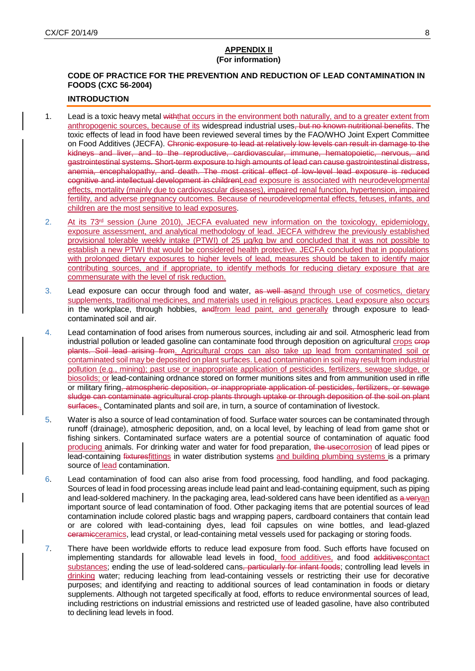### **APPENDIX II (For information)**

# **CODE OF PRACTICE FOR THE PREVENTION AND REDUCTION OF LEAD CONTAMINATION IN FOODS (CXC 56-2004)**

### **INTRODUCTION**

- 1. Lead is a toxic heavy metal withthat occurs in the environment both naturally, and to a greater extent from anthropogenic sources, because of its widespread industrial uses, but no known nutritional benefits. The toxic effects of lead in food have been reviewed several times by the FAO/WHO Joint Expert Committee on Food Additives (JECFA). Chronic exposure to lead at relatively low levels can result in damage to the kidneys and liver, and to the reproductive, cardiovascular, immune, hematopoietic, nervous, and gastrointestinal systems. Short-term exposure to high amounts of lead can cause gastrointestinal distress, anemia, encephalopathy, and death. The most critical effect of low-level lead exposure is reduced cognitive and intellectual development in childrenLead exposure is associated with neurodevelopmental effects, mortality (mainly due to cardiovascular diseases), impaired renal function, hypertension, impaired fertility, and adverse pregnancy outcomes. Because of neurodevelopmental effects, fetuses, infants, and children are the most sensitive to lead exposures.
- 2. At its 73<sup>rd</sup> session (June 2010), JECFA evaluated new information on the toxicology, epidemiology, exposure assessment, and analytical methodology of lead. JECFA withdrew the previously established provisional tolerable weekly intake (PTWI) of 25 µg/kg bw and concluded that it was not possible to establish a new PTWI that would be considered health protective. JECFA concluded that in populations with prolonged dietary exposures to higher levels of lead, measures should be taken to identify major contributing sources, and if appropriate, to identify methods for reducing dietary exposure that are commensurate with the level of risk reduction.
- 3. Lead exposure can occur through food and water, as well asand through use of cosmetics, dietary supplements, traditional medicines, and materials used in religious practices. Lead exposure also occurs in the workplace, through hobbies, and from lead paint, and generally through exposure to leadcontaminated soil and air.
- 4. Lead contamination of food arises from numerous sources, including air and soil. Atmospheric lead from industrial pollution or leaded gasoline can contaminate food through deposition on agricultural crops crop plants. Soil lead arising from. Agricultural crops can also take up lead from contaminated soil or contaminated soil may be deposited on plant surfaces. Lead contamination in soil may result from industrial pollution (e.g., mining); past use or inappropriate application of pesticides, fertilizers, sewage sludge, or biosolids; or lead-containing ordnance stored on former munitions sites and from ammunition used in rifle or military firing, atmospheric deposition, or inappropriate application of pesticides, fertilizers, or sewage sludge can contaminate agricultural crop plants through uptake or through deposition of the soil on plant surfaces.. Contaminated plants and soil are, in turn, a source of contamination of livestock.
- 5. Water is also a source of lead contamination of food. Surface water sources can be contaminated through runoff (drainage), atmospheric deposition, and, on a local level, by leaching of lead from game shot or fishing sinkers. Contaminated surface waters are a potential source of contamination of aquatic food producing animals. For drinking water and water for food preparation, the usecorrosion of lead pipes or lead-containing fixturesfittings in water distribution systems and building plumbing systems is a primary source of lead contamination.
- 6. Lead contamination of food can also arise from food processing, food handling, and food packaging. Sources of lead in food processing areas include lead paint and lead-containing equipment, such as piping and lead-soldered machinery. In the packaging area, lead-soldered cans have been identified as a veryan important source of lead contamination of food. Other packaging items that are potential sources of lead contamination include colored plastic bags and wrapping papers, cardboard containers that contain lead or are colored with lead-containing dyes, lead foil capsules on wine bottles, and lead-glazed ceramicceramics, lead crystal, or lead-containing metal vessels used for packaging or storing foods.
- 7. There have been worldwide efforts to reduce lead exposure from food. Such efforts have focused on implementing standards for allowable lead levels in food, food additives, and food additivescontact substances; ending the use of lead-soldered cans, particularly for infant foods; controlling lead levels in drinking water; reducing leaching from lead-containing vessels or restricting their use for decorative purposes; and identifying and reacting to additional sources of lead contamination in foods or dietary supplements. Although not targeted specifically at food, efforts to reduce environmental sources of lead, including restrictions on industrial emissions and restricted use of leaded gasoline, have also contributed to declining lead levels in food.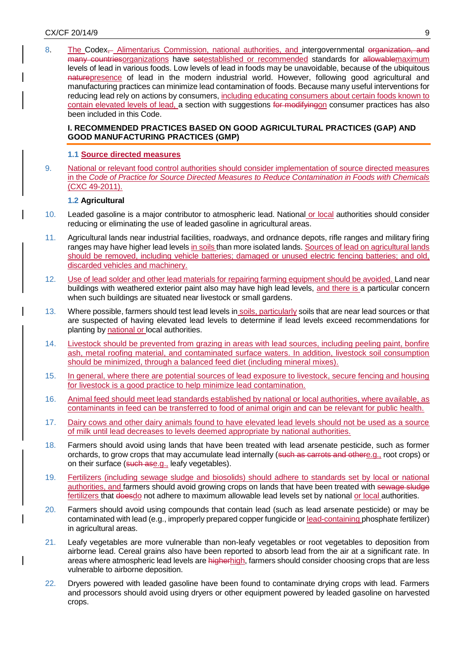8. The Codex<sub></sub> Alimentarius Commission, national authorities, and intergovernmental organization, and many countriesorganizations have setestablished or recommended standards for allowablemaximum levels of lead in various foods. Low levels of lead in foods may be unavoidable, because of the ubiquitous naturepresence of lead in the modern industrial world. However, following good agricultural and manufacturing practices can minimize lead contamination of foods. Because many useful interventions for reducing lead rely on actions by consumers, including educating consumers about certain foods known to contain elevated levels of lead, a section with suggestions for modifyingon consumer practices has also been included in this Code.

### **I. RECOMMENDED PRACTICES BASED ON GOOD AGRICULTURAL PRACTICES (GAP) AND GOOD MANUFACTURING PRACTICES (GMP)**

### **1.1 Source directed measures**

9. National or relevant food control authorities should consider implementation of source directed measures in the *Code of Practice for Source Directed Measures to Reduce Contamination in Foods with Chemicals*  (CXC 49-2011).

### **1.2 Agricultural**

- 10. Leaded gasoline is a major contributor to atmospheric lead. National or local authorities should consider reducing or eliminating the use of leaded gasoline in agricultural areas.
- 11. Agricultural lands near industrial facilities, roadways, and ordnance depots, rifle ranges and military firing ranges may have higher lead levels in soils than more isolated lands. Sources of lead on agricultural lands should be removed, including vehicle batteries; damaged or unused electric fencing batteries; and old, discarded vehicles and machinery.
- 12. Use of lead solder and other lead materials for repairing farming equipment should be avoided. Land near buildings with weathered exterior paint also may have high lead levels, and there is a particular concern when such buildings are situated near livestock or small gardens.
- 13. Where possible, farmers should test lead levels in soils, particularly soils that are near lead sources or that are suspected of having elevated lead levels to determine if lead levels exceed recommendations for planting by national or local authorities.
- 14. Livestock should be prevented from grazing in areas with lead sources, including peeling paint, bonfire ash, metal roofing material, and contaminated surface waters. In addition, livestock soil consumption should be minimized, through a balanced feed diet (including mineral mixes).
- 15. In general, where there are potential sources of lead exposure to livestock, secure fencing and housing for livestock is a good practice to help minimize lead contamination.
- 16. Animal feed should meet lead standards established by national or local authorities, where available, as contaminants in feed can be transferred to food of animal origin and can be relevant for public health.
- 17. Dairy cows and other dairy animals found to have elevated lead levels should not be used as a source of milk until lead decreases to levels deemed appropriate by national authorities.
- 18. Farmers should avoid using lands that have been treated with lead arsenate pesticide, such as former orchards, to grow crops that may accumulate lead internally (such as carrots and othere.g., root crops) or on their surface (such ase.g., leafy vegetables).
- 19. Fertilizers (including sewage sludge and biosolids) should adhere to standards set by local or national authorities, and farmers should avoid growing crops on lands that have been treated with sewage sludge fertilizers that doesdo not adhere to maximum allowable lead levels set by national or local authorities.
- 20. Farmers should avoid using compounds that contain lead (such as lead arsenate pesticide) or may be contaminated with lead (e.g., improperly prepared copper fungicide or lead-containing phosphate fertilizer) in agricultural areas.
- 21. Leafy vegetables are more vulnerable than non-leafy vegetables or root vegetables to deposition from airborne lead. Cereal grains also have been reported to absorb lead from the air at a significant rate. In areas where atmospheric lead levels are higherhigh, farmers should consider choosing crops that are less vulnerable to airborne deposition.
- 22. Dryers powered with leaded gasoline have been found to contaminate drying crops with lead. Farmers and processors should avoid using dryers or other equipment powered by leaded gasoline on harvested crops.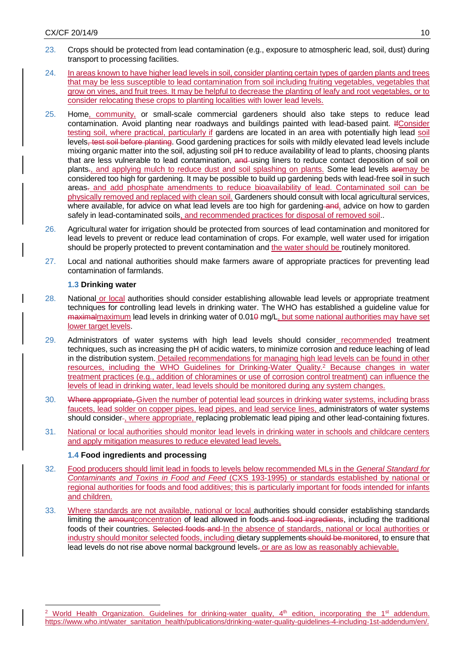- 23. Crops should be protected from lead contamination (e.g., exposure to atmospheric lead, soil, dust) during transport to processing facilities.
- 24. In areas known to have higher lead levels in soil, consider planting certain types of garden plants and trees that may be less susceptible to lead contamination from soil including fruiting vegetables, vegetables that grow on vines, and fruit trees. It may be helpful to decrease the planting of leafy and root vegetables, or to consider relocating these crops to planting localities with lower lead levels.
- 25. Home, community, or small-scale commercial gardeners should also take steps to reduce lead contamination. Avoid planting near roadways and buildings painted with lead-based paint. IfConsider testing soil, where practical, particularly if gardens are located in an area with potentially high lead soil levels, test soil before planting. Good gardening practices for soils with mildly elevated lead levels include mixing organic matter into the soil, adjusting soil pH to reduce availability of lead to plants, choosing plants that are less vulnerable to lead contamination, and using liners to reduce contact deposition of soil on plants., and applying mulch to reduce dust and soil splashing on plants. Some lead levels aremay be considered too high for gardening. It may be possible to build up gardening beds with lead-free soil in such areas. and add phosphate amendments to reduce bioavailability of lead. Contaminated soil can be physically removed and replaced with clean soil. Gardeners should consult with local agricultural services, where available, for advice on what lead levels are too high for gardening and, advice on how to garden safely in lead-contaminated soils, and recommended practices for disposal of removed soil..
- 26. Agricultural water for irrigation should be protected from sources of lead contamination and monitored for lead levels to prevent or reduce lead contamination of crops. For example, well water used for irrigation should be properly protected to prevent contamination and the water should be routinely monitored.
- 27. Local and national authorities should make farmers aware of appropriate practices for preventing lead contamination of farmlands.

## **1.3 Drinking water**

-

- 28. National or local authorities should consider establishing allowable lead levels or appropriate treatment techniques for controlling lead levels in drinking water. The WHO has established a guideline value for maximalmaximum lead levels in drinking water of 0.010 mg/L, but some national authorities may have set lower target levels.
- 29. Administrators of water systems with high lead levels should consider recommended treatment techniques, such as increasing the pH of acidic waters, to minimize corrosion and reduce leaching of lead in the distribution system. Detailed recommendations for managing high lead levels can be found in other resources, including the WHO Guidelines for Drinking-Water Quality.<sup>2</sup> Because changes in water treatment practices (e.g., addition of chloramines or use of corrosion control treatment) can influence the levels of lead in drinking water, lead levels should be monitored during any system changes.
- 30. Where appropriate, Given the number of potential lead sources in drinking water systems, including brass faucets, lead solder on copper pipes, lead pipes, and lead service lines, administrators of water systems should consider-, where appropriate, replacing problematic lead piping and other lead-containing fixtures.
- 31. National or local authorities should monitor lead levels in drinking water in schools and childcare centers and apply mitigation measures to reduce elevated lead levels.

## **1.4 Food ingredients and processing**

- 32. Food producers should limit lead in foods to levels below recommended MLs in the *General Standard for Contaminants and Toxins in Food and Feed* (CXS 193-1995) or standards established by national or regional authorities for foods and food additives; this is particularly important for foods intended for infants and children.
- 33. Where standards are not available, national or local authorities should consider establishing standards limiting the amountconcentration of lead allowed in foods-and food ingredients, including the traditional foods of their countries. Selected foods and In the absence of standards, national or local authorities or industry should monitor selected foods, including dietary supplements should be monitored, to ensure that lead levels do not rise above normal background levels- or are as low as reasonably achievable.

<sup>&</sup>lt;sup>2</sup> World Health Organization. Guidelines for drinking-water quality, 4<sup>th</sup> edition, incorporating the 1<sup>st</sup> addendum. [https://www.who.int/water\\_sanitation\\_health/publications/drinking-water-quality-guidelines-4-including-1st-addendum/en/.](https://www.who.int/water_sanitation_health/publications/drinking-water-quality-guidelines-4-including-1st-addendum/en/)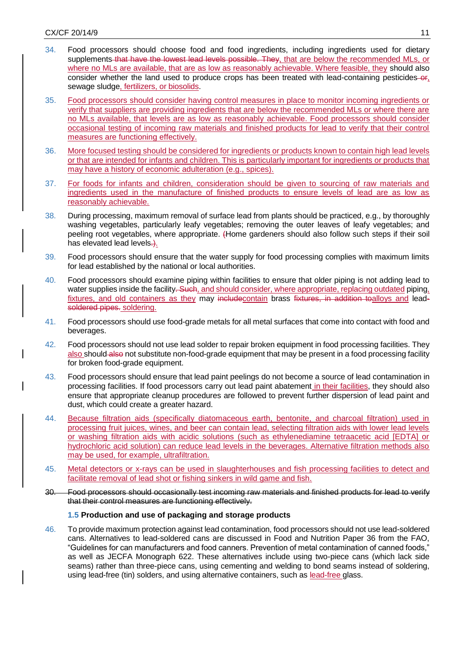- 34. Food processors should choose food and food ingredients, including ingredients used for dietary supplements that have the lowest lead levels possible. They, that are below the recommended MLs, or where no MLs are available, that are as low as reasonably achievable. Where feasible, they should also consider whether the land used to produce crops has been treated with lead-containing pesticides-or, sewage sludge, fertilizers, or biosolids.
- 35. Food processors should consider having control measures in place to monitor incoming ingredients or verify that suppliers are providing ingredients that are below the recommended MLs or where there are no MLs available, that levels are as low as reasonably achievable. Food processors should consider occasional testing of incoming raw materials and finished products for lead to verify that their control measures are functioning effectively.
- 36. More focused testing should be considered for ingredients or products known to contain high lead levels or that are intended for infants and children. This is particularly important for ingredients or products that may have a history of economic adulteration (e.g., spices).
- 37. For foods for infants and children, consideration should be given to sourcing of raw materials and ingredients used in the manufacture of finished products to ensure levels of lead are as low as reasonably achievable.
- 38. During processing, maximum removal of surface lead from plants should be practiced, e.g., by thoroughly washing vegetables, particularly leafy vegetables; removing the outer leaves of leafy vegetables; and peeling root vegetables, where appropriate. (Home gardeners should also follow such steps if their soil has elevated lead levels.
- 39. Food processors should ensure that the water supply for food processing complies with maximum limits for lead established by the national or local authorities.
- 40. Food processors should examine piping within facilities to ensure that older piping is not adding lead to water supplies inside the facility. Such, and should consider, where appropriate, replacing outdated piping, fixtures, and old containers as they may include contain brass fixtures, in addition toalloys and leadsoldered pipes. soldering.
- 41. Food processors should use food-grade metals for all metal surfaces that come into contact with food and beverages.
- 42. Food processors should not use lead solder to repair broken equipment in food processing facilities. They also should also not substitute non-food-grade equipment that may be present in a food processing facility for broken food-grade equipment.
- 43. Food processors should ensure that lead paint peelings do not become a source of lead contamination in processing facilities. If food processors carry out lead paint abatement in their facilities, they should also ensure that appropriate cleanup procedures are followed to prevent further dispersion of lead paint and dust, which could create a greater hazard.
- 44. Because filtration aids (specifically diatomaceous earth, bentonite, and charcoal filtration) used in processing fruit juices, wines, and beer can contain lead, selecting filtration aids with lower lead levels or washing filtration aids with acidic solutions (such as ethylenediamine tetraacetic acid [EDTA] or hydrochloric acid solution) can reduce lead levels in the beverages. Alternative filtration methods also may be used, for example, ultrafiltration.
- 45. Metal detectors or x-rays can be used in slaughterhouses and fish processing facilities to detect and facilitate removal of lead shot or fishing sinkers in wild game and fish.
- 30. Food processors should occasionally test incoming raw materials and finished products for lead to verify that their control measures are functioning effectively.

### **1.5 Production and use of packaging and storage products**

46. To provide maximum protection against lead contamination, food processors should not use lead-soldered cans. Alternatives to lead-soldered cans are discussed in Food and Nutrition Paper 36 from the FAO, "Guidelines for can manufacturers and food canners. Prevention of metal contamination of canned foods," as well as JECFA Monograph 622. These alternatives include using two-piece cans (which lack side seams) rather than three-piece cans, using cementing and welding to bond seams instead of soldering, using lead-free (tin) solders, and using alternative containers, such as lead-free glass.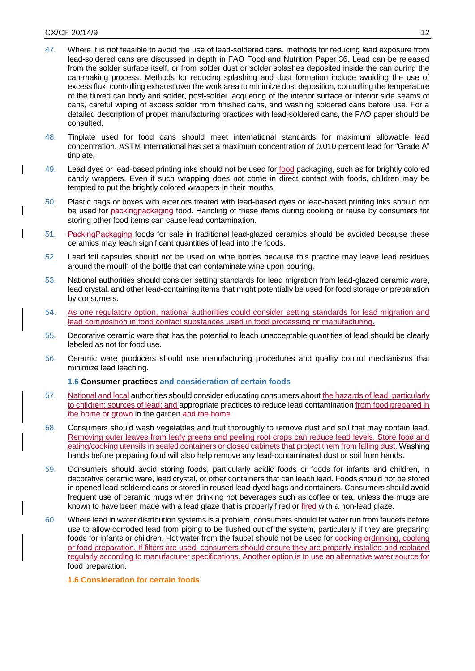- 47. Where it is not feasible to avoid the use of lead-soldered cans, methods for reducing lead exposure from lead-soldered cans are discussed in depth in FAO Food and Nutrition Paper 36. Lead can be released from the solder surface itself, or from solder dust or solder splashes deposited inside the can during the can-making process. Methods for reducing splashing and dust formation include avoiding the use of excess flux, controlling exhaust over the work area to minimize dust deposition, controlling the temperature of the fluxed can body and solder, post-solder lacquering of the interior surface or interior side seams of cans, careful wiping of excess solder from finished cans, and washing soldered cans before use. For a detailed description of proper manufacturing practices with lead-soldered cans, the FAO paper should be consulted.
- 48. Tinplate used for food cans should meet international standards for maximum allowable lead concentration. ASTM International has set a maximum concentration of 0.010 percent lead for "Grade A" tinplate.
- 49. Lead dyes or lead-based printing inks should not be used for food packaging, such as for brightly colored candy wrappers. Even if such wrapping does not come in direct contact with foods, children may be tempted to put the brightly colored wrappers in their mouths.
- 50. Plastic bags or boxes with exteriors treated with lead-based dyes or lead-based printing inks should not be used for packingpackaging food. Handling of these items during cooking or reuse by consumers for storing other food items can cause lead contamination.
- 51. Packing Packaging foods for sale in traditional lead-glazed ceramics should be avoided because these ceramics may leach significant quantities of lead into the foods.
- 52. Lead foil capsules should not be used on wine bottles because this practice may leave lead residues around the mouth of the bottle that can contaminate wine upon pouring.
- 53. National authorities should consider setting standards for lead migration from lead-glazed ceramic ware, lead crystal, and other lead-containing items that might potentially be used for food storage or preparation by consumers.
- 54. As one regulatory option, national authorities could consider setting standards for lead migration and lead composition in food contact substances used in food processing or manufacturing.
- 55. Decorative ceramic ware that has the potential to leach unacceptable quantities of lead should be clearly labeled as not for food use.
- 56. Ceramic ware producers should use manufacturing procedures and quality control mechanisms that minimize lead leaching.

### **1.6 Consumer practices and consideration of certain foods**

- 57. National and local authorities should consider educating consumers about the hazards of lead, particularly to children; sources of lead; and appropriate practices to reduce lead contamination from food prepared in the home or grown in the garden and the home.
- 58. Consumers should wash vegetables and fruit thoroughly to remove dust and soil that may contain lead. Removing outer leaves from leafy greens and peeling root crops can reduce lead levels. Store food and eating/cooking utensils in sealed containers or closed cabinets that protect them from falling dust. Washing hands before preparing food will also help remove any lead-contaminated dust or soil from hands.
- 59. Consumers should avoid storing foods, particularly acidic foods or foods for infants and children, in decorative ceramic ware, lead crystal, or other containers that can leach lead. Foods should not be stored in opened lead-soldered cans or stored in reused lead-dyed bags and containers. Consumers should avoid frequent use of ceramic mugs when drinking hot beverages such as coffee or tea, unless the mugs are known to have been made with a lead glaze that is properly fired or fired with a non-lead glaze.
- 60. Where lead in water distribution systems is a problem, consumers should let water run from faucets before use to allow corroded lead from piping to be flushed out of the system, particularly if they are preparing foods for infants or children. Hot water from the faucet should not be used for cooking ordrinking, cooking or food preparation. If filters are used, consumers should ensure they are properly installed and replaced regularly according to manufacturer specifications. Another option is to use an alternative water source for food preparation.

#### **1.6 Consideration for certain foods**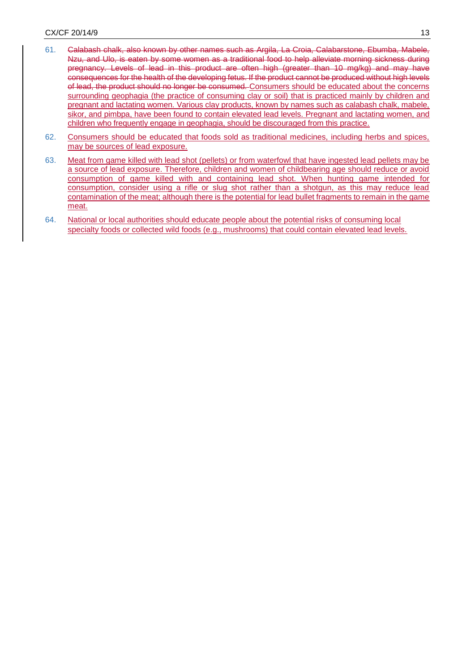- 61. Calabash chalk, also known by other names such as Argila, La Croia, Calabarstone, Ebumba, Mabele, Nzu, and Ulo, is eaten by some women as a traditional food to help alleviate morning sickness during pregnancy. Levels of lead in this product are often high (greater than 10 mg/kg) and may have consequences for the health of the developing fetus. If the product cannot be produced without high levels of lead, the product should no longer be consumed. Consumers should be educated about the concerns surrounding geophagia (the practice of consuming clay or soil) that is practiced mainly by children and pregnant and lactating women. Various clay products, known by names such as calabash chalk, mabele, sikor, and pimbpa, have been found to contain elevated lead levels. Pregnant and lactating women, and children who frequently engage in geophagia, should be discouraged from this practice.
- 62. Consumers should be educated that foods sold as traditional medicines, including herbs and spices, may be sources of lead exposure.
- 63. Meat from game killed with lead shot (pellets) or from waterfowl that have ingested lead pellets may be a source of lead exposure. Therefore, children and women of childbearing age should reduce or avoid consumption of game killed with and containing lead shot. When hunting game intended for consumption, consider using a rifle or slug shot rather than a shotgun, as this may reduce lead contamination of the meat; although there is the potential for lead bullet fragments to remain in the game meat.
- 64. National or local authorities should educate people about the potential risks of consuming local specialty foods or collected wild foods (e.g., mushrooms) that could contain elevated lead levels.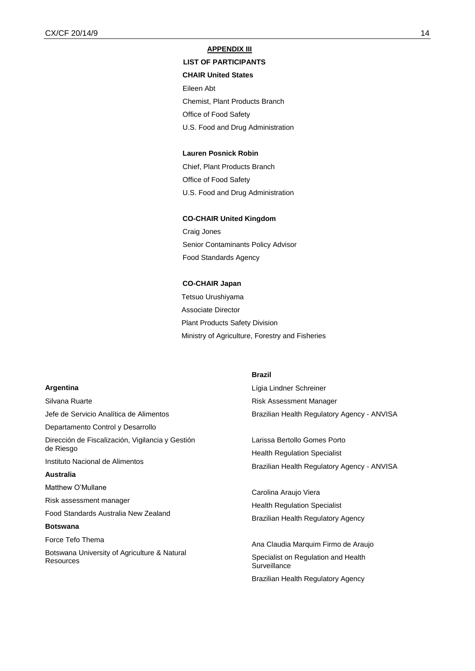### **APPENDIX III**

## **LIST OF PARTICIPANTS**

### **CHAIR United States**

Eileen Abt

Chemist, Plant Products Branch

Office of Food Safety

U.S. Food and Drug Administration

#### **Lauren Posnick Robin**

Chief, Plant Products Branch Office of Food Safety U.S. Food and Drug Administration

#### **CO-CHAIR United Kingdom**

Craig Jones Senior Contaminants Policy Advisor Food Standards Agency

#### **CO-CHAIR Japan**

Tetsuo Urushiyama Associate Director Plant Products Safety Division Ministry of Agriculture, Forestry and Fisheries

### **Argentina**

Silvana Ruarte Jefe de Servicio Analítica de Alimentos Departamento Control y Desarrollo Dirección de Fiscalización, Vigilancia y Gestión de Riesgo Instituto Nacional de Alimentos **Australia**  Matthew O'Mullane Risk assessment manager Food Standards Australia New Zealand **Botswana** Force Tefo Thema Botswana University of Agriculture & Natural **Resources** 

#### **Brazil**

Lígia Lindner Schreiner Risk Assessment Manager Brazilian Health Regulatory Agency - ANVISA

Larissa Bertollo Gomes Porto Health Regulation Specialist Brazilian Health Regulatory Agency - ANVISA

Carolina Araujo Viera Health Regulation Specialist Brazilian Health Regulatory Agency

Ana Claudia Marquim Firmo de Araujo Specialist on Regulation and Health **Surveillance** Brazilian Health Regulatory Agency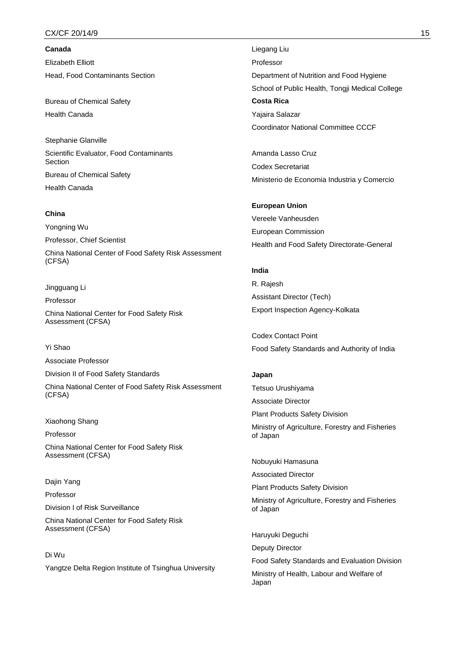### $\textsf{CX/CF}~20/14/9$  . The set of the set of the set of the set of the set of the set of the set of the set of the set of the set of the set of the set of the set of the set of the set of the set of the set of the set of th

**Canada**  Elizabeth Elliott Head, Food Contaminants Section

Bureau of Chemical Safety Health Canada

Stephanie Glanville Scientific Evaluator, Food Contaminants Section Bureau of Chemical Safety Health Canada

### **China**

Yongning Wu

Professor, Chief Scientist

China National Center of Food Safety Risk Assessment (CFSA)

Jingguang Li

Professor

China National Center for Food Safety Risk Assessment (CFSA)

### Yi Shao

Associate Professor

Division II of Food Safety Standards

China National Center of Food Safety Risk Assessment (CFSA)

Xiaohong Shang

Professor China National Center for Food Safety Risk Assessment (CFSA)

Dajin Yang

Professor

Division I of Risk Surveillance

China National Center for Food Safety Risk Assessment (CFSA)

Di Wu Yangtze Delta Region Institute of Tsinghua University Liegang Liu Professor Department of Nutrition and Food Hygiene School of Public Health, Tongji Medical College **Costa Rica** Yajaira Salazar Coordinator National Committee CCCF

Amanda Lasso Cruz Codex Secretariat Ministerio de Economia Industria y Comercio

**European Union**  Vereele Vanheusden European Commission Health and Food Safety Directorate-General

### **India**

R. Rajesh Assistant Director (Tech) Export Inspection Agency-Kolkata

Codex Contact Point Food Safety Standards and Authority of India

**Japan**  Tetsuo Urushiyama Associate Director Plant Products Safety Division Ministry of Agriculture, Forestry and Fisheries of Japan

Nobuyuki Hamasuna

Associated Director

Plant Products Safety Division

Ministry of Agriculture, Forestry and Fisheries of Japan

Haruyuki Deguchi Deputy Director Food Safety Standards and Evaluation Division Ministry of Health, Labour and Welfare of Japan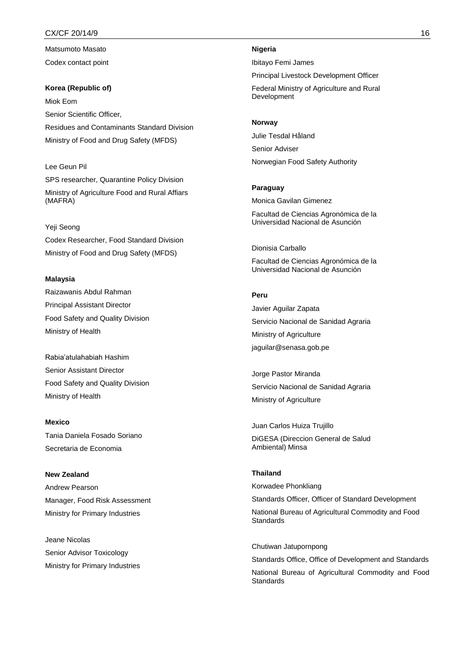### $CX/CF$  20/14/9  $16$

Matsumoto Masato Codex contact point

**Korea (Republic of)** Miok Eom Senior Scientific Officer, Residues and Contaminants Standard Division Ministry of Food and Drug Safety (MFDS)

Lee Geun Pil SPS researcher, Quarantine Policy Division Ministry of Agriculture Food and Rural Affiars (MAFRA)

#### Yeji Seong

Codex Researcher, Food Standard Division Ministry of Food and Drug Safety (MFDS)

#### **Malaysia**

Raizawanis Abdul Rahman Principal Assistant Director Food Safety and Quality Division Ministry of Health

Rabia'atulahabiah Hashim Senior Assistant Director Food Safety and Quality Division Ministry of Health

#### **Mexico**

Tania Daniela Fosado Soriano Secretaria de Economia

## **New Zealand**

Andrew Pearson Manager, Food Risk Assessment Ministry for Primary Industries

Jeane Nicolas Senior Advisor Toxicology Ministry for Primary Industries

### **Nigeria**

Ibitayo Femi James

Principal Livestock Development Officer

Federal Ministry of Agriculture and Rural Development

#### **Norway**

Julie Tesdal Håland Senior Adviser Norwegian Food Safety Authority

### **Paraguay**

Monica Gavilan Gimenez

Facultad de Ciencias Agronómica de la Universidad Nacional de Asunción

#### Dionisia Carballo

Facultad de Ciencias Agronómica de la Universidad Nacional de Asunción

### **Peru**

Javier Aguilar Zapata Servicio Nacional de Sanidad Agraria Ministry of Agriculture jaguilar@senasa.gob.pe

Jorge Pastor Miranda Servicio Nacional de Sanidad Agraria Ministry of Agriculture

Juan Carlos Huiza Trujillo DiGESA (Direccion General de Salud Ambiental) Minsa

### **Thailand**

Korwadee Phonkliang Standards Officer, Officer of Standard Development National Bureau of Agricultural Commodity and Food Standards

Chutiwan Jatupornpong

Standards Office, Office of Development and Standards

National Bureau of Agricultural Commodity and Food **Standards**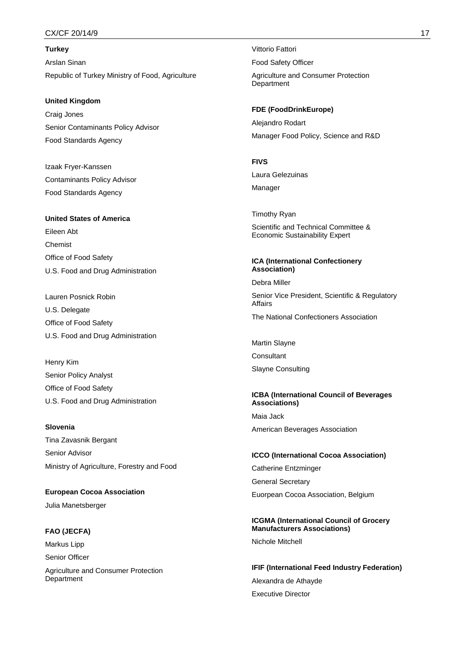### CX/CF 20/14/9 17

**Turkey** Arslan Sinan Republic of Turkey Ministry of Food, Agriculture

#### **United Kingdom**

Craig Jones Senior Contaminants Policy Advisor Food Standards Agency

Izaak Fryer-Kanssen Contaminants Policy Advisor Food Standards Agency

#### **United States of America**

Eileen Abt Chemist Office of Food Safety U.S. Food and Drug Administration

Lauren Posnick Robin U.S. Delegate Office of Food Safety U.S. Food and Drug Administration

Henry Kim Senior Policy Analyst Office of Food Safety U.S. Food and Drug Administration

#### **Slovenia**

Tina Zavasnik Bergant Senior Advisor Ministry of Agriculture, Forestry and Food

**European Cocoa Association** Julia Manetsberger

#### **FAO (JECFA)**

Department

Markus Lipp Senior Officer Agriculture and Consumer Protection Vittorio Fattori Food Safety Officer Agriculture and Consumer Protection **Department** 

**FDE (FoodDrinkEurope)** Alejandro Rodart Manager Food Policy, Science and R&D

#### **FIVS**

Laura Gelezuinas

Manager

Timothy Ryan Scientific and Technical Committee & Economic Sustainability Expert

### **ICA (International Confectionery Association)**

Debra Miller

Senior Vice President, Scientific & Regulatory Affairs The National Confectioners Association

Martin Slayne

**Consultant** 

Slayne Consulting

## **ICBA (International Council of Beverages Associations)** Maia Jack

American Beverages Association

# **ICCO (International Cocoa Association)** Catherine Entzminger

General Secretary

Euorpean Cocoa Association, Belgium

# **ICGMA (International Council of Grocery Manufacturers Associations)**

Nichole Mitchell

**IFIF (International Feed Industry Federation)** Alexandra de Athayde Executive Director